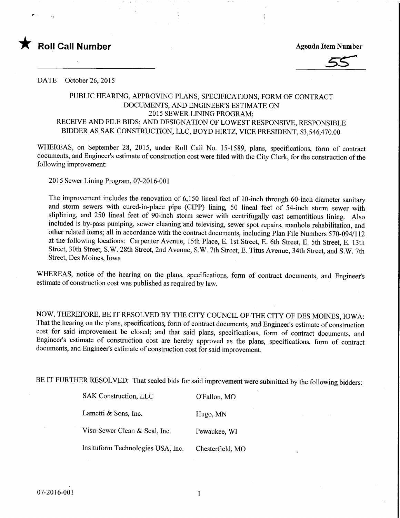

DATE October 26, 2015

## PUBLIC HEARING, APPROVING PLANS, SPECIFICATIONS, FORM OF CONTRACT DOCUMENTS, AND ENGINEER'S ESTIMATE ON 2015 SEWER LINING PROGRAM; RECEIVE AND FILE BIDS; AND DESIGNATION OF LOWEST RESPONSFVE, RESPONSIBLE BIDDER AS SAK CONSTRUCTION, LLC, BOYD HIRTZ, VICE PRESIDENT, \$3,546,470.00

WHEREAS, on September 28, 2015, under Roll Call No. 15-1589, plans, specifications, form of contract documents, and Engineer's estimate of construction cost were filed with the City Clerk, for the construction of the following improvement:

2015 Sewer Lining Program, 07-2016-001

The improvement includes the renovation of 6,150 lineal feet of 10-inch through 60-inch diameter sanitary and storm sewers with cured-in-place pipe (CIPP) lining, 50 lineal feet of 54-inch storm sewer with sliplining, and 250 lineal feet of 90-inch storm sewer with centrifugally cast cementitious lining. Also included is by-pass pumping, sewer cleaning and televising, sewer spot repairs, manhole rehabilitation, and other related items; all in accordance with the contract documents, including Plan File Numbers 570-094/1 12 at the following locations: Carpenter Avenue, 15th Place, E. 1st Street, E. 6th Street, E. 5th Street, E. 13th Street, 30th Street, S.W. 28th Street, 2nd Avenue, S.W. 7th Street, E. Titus Avenue, 34th Street, and S.W. 7th Street, Des Moines, Iowa

WHEREAS, notice of the hearing on the plans, specifications, form of contract documents, and Engineer's estimate of construction cost was published as required by law.

NOW, THEREFORE, BE IT RESOLVED BY THE CITY COUNCIL OF THE CITY OF DES MOINES, IOWA: That the hearing on the plans, specifications, form of contract documents, and Engineer's estimate of construction cost for said improvement be closed; and that said plans, specifications, form of contract documents, and Engineer's estimate of construction cost are hereby approved as the plans, specifications, form of contract documents, and Engineer's estimate of construction cost for said improvement.

BE IT FURTHER RESOLVED: That sealed bids for said improvement were submitted by the following bidders:

| <b>SAK Construction, LLC</b>      | O'Fallon, MO     |
|-----------------------------------|------------------|
| Lametti & Sons, Inc.              | Hugo, MN         |
| Visu-Sewer Clean & Seal, Inc.     | Pewaukee, WI     |
| Insituform Technologies USA, Inc. | Chesterfield, MO |

 $\mathbf{1}$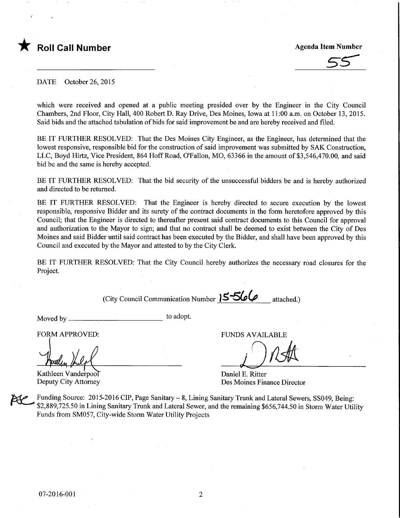

## Roll Call Number **Agenda Item Number** Agenda Item Number

DATE October 26, 2015

which were received and opened at a public meeting presided over by the Engineer in the City Council Chambers, 2nd Floor, City Hall, 400 Robert D. Ray Drive, Des Moines, Iowa at 11:00 a.m. on October 13, 2015. Said bids and the attached tabulation of bids for said improvement be and are hereby received and filed.

BE IT FURTHER RESOLVED: That the Des Moines City Engineer, as the Engineer, has detennined that the lowest responsive, responsible bid for the construction of said improvement was submitted by SAK Construction, LLC, Boyd Hirtz, Vice President, 864 HoffRoad, O'Fallon, MO, 63366 in the amount of \$3,546,470.00, and said bid be and the same is hereby accepted.

BE IT FURTHER RESOLVED: That the bid security of the unsuccessful bidders be and is hereby authorized and directed to be returned.

BE IT FURTHER RESOLVED: That the Engineer is hereby directed to secure execution by the lowest responsible, responsive Bidder and its surety of the contract documents in the form heretofore approved by this Council; that the Engineer is directed to thereafter present said contract documents to this Council for approval and authorization to the Mayor to sign; and that no contract shall be deemed to exist between the City of Des Moines and said Bidder until said contract has been executed by the Bidder, and shall have been approved by this Council and executed by the Mayor and attested to by the City Clerk.

BE IT FURTHER RESOLVED: That the City Council hereby authorizes the necessary road closures for the Project.

(City Council Communication Number 15566

Moved by  $\frac{1}{\sqrt{2\pi}}$  to adopt.

FORM APPROVED: THE RESERVE EUNDS AVAILABLE

Kathleen Vanderpool<br>Deputy City Attorney

Daniel E. Ritter Des Moines Finance Director

Funding Source: 2015-2016 CIP, Page Sanitary - 8, Lining Sanitary Trunk and Lateral Sewers, SS049, Being: \$2,889,725.50 in Lining Sanitary Trunk and Lateral Sewer, and the remaining \$656,744.50 in Storm Water Utility Funds from SM057, City-wide Storm Water Utility Projects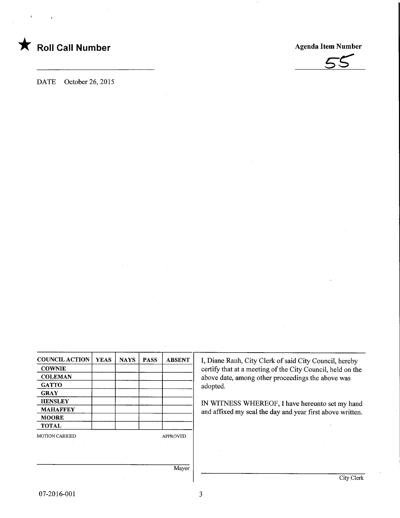

**Agenda Item Number** 



DATE October 26, 2015

| <b>COUNCIL ACTION</b> | <b>YEAS</b> | <b>NAYS</b> | <b>PASS</b> | <b>ABSENT</b>   |
|-----------------------|-------------|-------------|-------------|-----------------|
| <b>COWNIE</b>         |             |             |             |                 |
| <b>COLEMAN</b>        |             |             |             |                 |
| <b>GATTO</b>          |             |             |             |                 |
| <b>GRAY</b>           |             |             |             |                 |
| <b>HENSLEY</b>        |             |             |             |                 |
| <b>MAHAFFEY</b>       |             |             |             |                 |
| <b>MOORE</b>          |             |             |             |                 |
| <b>TOTAL</b>          |             |             |             |                 |
| <b>MOTION CARRIED</b> |             |             |             | <b>APPROVED</b> |
|                       |             |             |             |                 |

I, Diane Rauh, City Clerk of said City Council, hereby certify that at a meeting of the City Council, held on the above date, among other proceedings the above was adopted.

IN WITNESS WHEREOF, I have hereunto set my hand and affixed my seal the day and year first above written.

Mayor

 $\overline{\mathbf{3}}$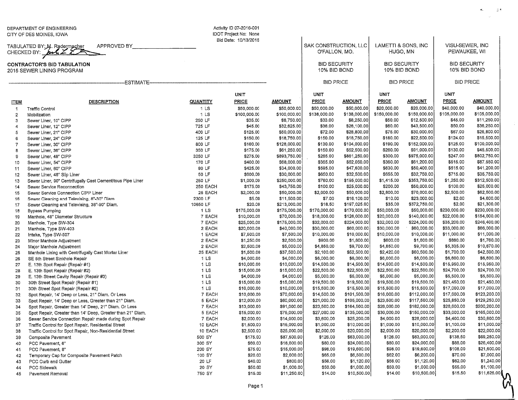|                                                                 | DEPARTMENT OF ENGINEERING<br>CITY OF DES MOINES, IOWA                                                          |                     | Activity ID 07-2016-001<br>IDOT Project No: None |                              |                                        |                            |                                     |                            |                                     |                             |
|-----------------------------------------------------------------|----------------------------------------------------------------------------------------------------------------|---------------------|--------------------------------------------------|------------------------------|----------------------------------------|----------------------------|-------------------------------------|----------------------------|-------------------------------------|-----------------------------|
|                                                                 | APPROVED BY<br>TABULATED BY: M. Radermacher<br>CHECKED BY: $\underline{\mathcal{H}}$ $\underline{\mathcal{H}}$ |                     | Bid Date: 10/13/2015                             |                              | SAK CONSTRUCTION, LLC<br>O'FALLON, MO. |                            | LAMETTI & SONS, INC<br>HUGO, MN     |                            | VISU-SEWER, INC<br>PEWAUKEE, WI     |                             |
| <b>CONTRACTOR'S BID TABULATION</b><br>2015 SEWER LINING PROGRAM |                                                                                                                |                     |                                                  |                              | <b>BID SECURITY</b><br>10% BID BOND    |                            | <b>BID SECURITY</b><br>10% BID BOND |                            | <b>BID SECURITY</b><br>10% BID BOND |                             |
|                                                                 | -ESTIMATE-                                                                                                     |                     |                                                  |                              | <b>BID PRICE</b>                       |                            | <b>BID PRICE</b>                    |                            | <b>BID PRICE</b>                    |                             |
|                                                                 |                                                                                                                |                     | <b>UNIT</b>                                      |                              | UNIT                                   |                            | UNIT                                |                            | <b>UNIT</b>                         |                             |
| <b>ITEM</b>                                                     | <b>DESCRIPTION</b>                                                                                             | QUANTITY            | PRICE                                            | <b>AMOUNT</b>                | <b>PRICE</b>                           | <b>AMOUNT</b>              | <b>PRICE</b>                        | AMOUNT                     | <b>PRICE</b>                        | <b>AMOUNT</b>               |
| 1                                                               | <b>Traffic Control</b>                                                                                         | 1 LS                | \$50,000.00                                      | \$50,000.00                  | \$50,000.00                            | \$50,000.00                | \$20,000.00                         | \$20,000.00                | \$40,000.00                         | \$40,000.00                 |
| $\mathbf{2}$                                                    | Mobilization                                                                                                   | 1 <sub>LS</sub>     | \$100,000.00                                     | \$100,000,00                 | \$138,000.00                           | \$138,000.00               | \$150,000.00                        | \$150,000.00               | \$105,000.00                        | \$105,000.00                |
| 3                                                               | Sewer Liner, 10" CIPP                                                                                          | 250 LF              | \$35.00                                          | \$8,750.00                   | \$33.00                                | \$8,250.00                 | \$50.00                             | \$12,500.00                | \$45.00                             | \$11,250.00                 |
| 4                                                               | Sewer Liner, 12" CIPP                                                                                          | 725 LF              | \$45.00                                          | \$32,625.00                  | \$36,00                                | \$26,100.00                | \$60.00                             | \$43,500.00                | \$50.00                             | \$36,250.00                 |
| 5                                                               | Sewer Liner, 21" CIPP                                                                                          | 400 LF              | \$125.00                                         | \$50,000.00                  | \$72.00                                | \$28,800.00                | \$75.00                             | \$30,000.00                | \$67.00                             | \$26,800.00                 |
| 6                                                               | Sewer Liner, 24" CIPP                                                                                          | 125 LF              | \$150.00                                         | \$18,750.00                  | \$150.00                               | \$18,750.00                | \$180.00                            | \$22,500.00                | \$124.00                            | \$15,500.00                 |
| $\overline{7}$                                                  | Sewer Liner, 30" CIPP                                                                                          | 800 LF              | \$160.00                                         | \$128,000.00                 | \$130.00                               | \$104,000.00               | \$190.00                            | \$152,000.00               | \$125.00                            | \$100,000.00                |
| 8                                                               | Sewer Liner, 36" CIPP                                                                                          | 350 LF              | \$175.00                                         | \$61,250.00                  | \$150,00                               | \$52,500.00                | \$260.00                            | \$91,000.00                | \$130.00                            | \$45,500.00                 |
| 9                                                               | Sewer Liner, 48" CIPP                                                                                          | 3250 LF             | \$275.00                                         | \$893,750.00                 | \$265.00                               | \$861,250.00               | \$300.00                            | \$975,000,00               | \$247.00                            | \$802,750.00                |
| 10                                                              | Sewer Liner, 54" CIPP                                                                                          | 170 LF              | \$400.00                                         | \$68,000.00                  | \$365.00                               | \$62,050.00                | \$360.00                            | \$61,200.00                | \$515.00                            | \$87,550.00<br>\$41,200,00  |
| 11                                                              | Sewer Liner, 60" CIPP                                                                                          | 80 LF               | \$425.00                                         | \$34,000.00                  | \$595.00                               | \$47,600.00                | \$630.00                            | \$50,400.00                | \$515.00                            |                             |
| 12                                                              | Sewer Liner, 48" Slip Liner                                                                                    | 50 LF               | \$600.00                                         | \$30,000.00                  | \$650.00                               | \$32,500.00                | \$655.00                            | \$32,750.00                | \$715.00                            | \$35,750.00                 |
| 13                                                              | Sewer Liner, 90" Centrifugally Cast Cementitous Pipe Liner                                                     | 250 LF              | \$1,000.00                                       | \$250,000.00                 | \$780.00                               | \$195,000.00               | \$1,415.00                          | \$353,750.00               | \$1,250.00                          | \$312,500.00<br>\$25,000.00 |
| 14                                                              | Sewer Service Reconnection                                                                                     | 250 EACH<br>25 EACH | \$175.00                                         | \$43,750.00                  | \$100.00<br>\$2,000.00                 | \$25,000.00                | \$200.00<br>\$2,800.00              | \$50,000.00<br>\$70,000.00 | \$100.00<br>\$2,500.00              | \$62,500.00                 |
| 15                                                              | Sewer Service Connection CIPP Liner                                                                            | 2300 LF             | \$2,000.00<br>\$5.00                             | \$50,000.00<br>\$11,500.00   | \$7.00                                 | \$50,000.00<br>\$16,100.00 | \$10.00                             | \$23,000.00                | \$2.00                              | \$4,600.00                  |
| 16                                                              | Sewer Cleaning and Televising, 8"-30" Diam.                                                                    | 10650 LF            | \$20.00                                          |                              | \$18.50                                | \$197,025.00               | \$35.00                             | \$372,750.00               | \$2,00                              | \$21,300.00                 |
| 17                                                              | Sewer Cleaning and Televising, 36"-90" Diam.                                                                   | 1 <sub>LS</sub>     | \$175,000.00                                     | \$213,000.00<br>\$175,000.00 | \$170,000.00                           | \$170,000.00               | \$50,000.00                         | \$50,000.00                | \$230,000.00                        | \$230,000.00                |
| 18                                                              | <b>Bypass Pumping</b>                                                                                          | 7 EACH              | \$10,000.00                                      | \$70,000.00                  | \$18,000.00                            | \$126,000.00               | \$20,000.00                         | \$140,000.00               | \$22,000.00                         | \$154,000.00                |
| 19<br>20                                                        | Manhole, 48" Diameter Structure                                                                                | 7 EACH              | \$25,000.00                                      | \$175,000.00                 | \$32,000.00                            | \$224,000.00               | \$32,000.00                         | \$224,000.00               | \$35,200.00                         | \$246,400.00                |
| 21                                                              | Manhole, Type SW-304<br>Manhole, Type SW-403                                                                   | 2 EACH              | \$20,000.00                                      | \$40,000.00                  | \$30,000.00                            | \$60,000.00                | \$30,000.00                         | \$60,000.00                | \$33,000.00                         | \$66,000.00                 |
| 22                                                              | Intake, Type SW-507                                                                                            | 1 EACH              | \$7,500.00                                       | \$7,500.00                   | \$10,000,00                            | \$10,000,00                | \$10,000.00                         | \$10,000.00                | \$11,000.00                         | \$11,000.00                 |
| 23                                                              | Minor Manhole Adjustment                                                                                       | 2 EACH              | \$1,250.00                                       | \$2,500.00                   | \$900.00                               | \$1,800.00                 | \$800.00                            | \$1,600.00                 | \$880.00                            | \$1,760.00                  |
| 24                                                              | Major Mannole Adjustment                                                                                       | 2 EACH              | \$2,500.00                                       | \$5,000.00                   | \$4,850.00                             | \$9,700.00                 | \$4,850.00                          | \$9,700.00                 | \$5,335.00                          | \$10,670.00                 |
| 25                                                              | Manhole Lining with Centrifugally Cast Mortar Liner                                                            | 25 EACH             | \$1,500.00                                       | \$37,500.00                  | \$2,100.00                             | \$52,500.00                | \$2,420.00                          | \$60,500.00                | \$1,700.00                          | \$42,500.00                 |
| 26                                                              | SE 5th Street Sinkhole Repair                                                                                  | 1 <sub>LS</sub>     | \$4,000.00                                       | \$4,000.00                   | \$6,000.00                             | \$6,000.00                 | \$6,000.00                          | \$6,000.00                 | \$6,600.00                          | \$6,600.00                  |
| 27                                                              | E. 13th Spot Repair (Repair #1)                                                                                | 1 LS                | \$10,000.00                                      | \$10,000.00                  | \$14,500.00                            | \$14,500.00                | \$14,500.00                         | \$14,500.00                | \$15,950.00                         | \$15,950.00                 |
| 28                                                              | E. 13th Spot Repair (Repair #2)                                                                                | 1 LS                | \$15,000.00                                      | \$15,000.00                  | \$22,500.00                            | \$22,500.00                | \$22,500.00                         | \$22,500.00                | \$24,700.00                         | \$24,700.00                 |
| 29                                                              | E. 13th Street Cavity Repair (Repair #3)                                                                       | 1 <sub>LS</sub>     | \$4,000.00                                       | \$4,000.00                   | \$5,000.00                             | \$5,000.00                 | \$5,000.00                          | \$5,000.00                 | \$5,500.00                          | \$5,500.00                  |
| 30                                                              | 30th Street Spot Repair (Repair #1)                                                                            | 1 <sub>LS</sub>     | \$15,000.00                                      | \$15,000.00                  | \$19,500.00                            | \$19,500.00                | \$19,500.00                         | \$19,500.00                | \$21,450.00                         | \$21,450.00                 |
| 31                                                              | 30th Street Spot Repair (Repair #2)                                                                            | 1 <sub>LS</sub>     | \$10,000.00                                      | \$10,000.00                  | \$15,500.00                            | \$15,500.00                | \$15,500.00                         | \$15,500.00                | \$17,000.00                         | \$17,000.00                 |
| 32                                                              | Spot Repair, 14' Deep or Less, 21" Diam. Or Less                                                               | 7 EACH              | \$10,000.00                                      | \$70,000.00                  | \$14,500.00                            | \$101,500.00               | \$16,000.00                         | \$112,000.00               | \$17,600.00                         | \$123,200.00                |
| 33                                                              | Spot Repair, 14' Deep or Less, Greater than 21" Diam.                                                          | 5 EACH              | \$12,000.00                                      | \$60,000.00                  | \$21,000.00                            | \$105,000.00               | \$23,500.00                         | \$117,500.00               | \$25,850.00                         | \$129,250.00                |
| 34                                                              | Spot Repair, Greater than 14' Deep, 21" Diam. Or Less                                                          | 7 EACH              | \$13,000.00                                      | \$91,000.00                  | \$23,500.00                            | \$164,500.00               | \$26,000.00                         | \$182,000.00               | \$28,600.00                         | \$200,200.00                |
| 35                                                              | Spot Repair, Greater than 14' Deep, Greater than 21" Diam.                                                     | 5 EACH              | \$15,000.00                                      | \$75,000.00                  | \$27,000.00                            | \$135,000.00               | \$30,000.00                         | \$150,000.00               | \$33,000.00                         | \$165,000,00                |
| 36                                                              | Sewer Service Connection Repair made during Spot Repair                                                        | 7 EACH              | \$2,000.00                                       | \$14,000.00                  | \$3,600.00                             | \$25,200.00                | \$4,000.00                          | \$28,000.00                | \$4,400.00                          | \$30,800.00                 |
| 37                                                              | Traffic Control for Spot Repair, Residential Street                                                            | 10 EACH             | \$1,500.00                                       | \$15,000.00                  | \$1,000.00                             | \$10,000.00                | \$1,000.00                          | \$10,000.00                | \$1,100.00                          | \$11,000.00                 |
| 38                                                              | Traffic Control for Spot Repair, Non-Residential Street                                                        | 10 EACH             | \$2,500.00                                       | \$25,000.00                  | \$2,000.00                             | \$20,000.00                | \$2,000.00                          | \$20,000.00                | \$2,200.00                          | \$22,000.00                 |
| 39                                                              | Composite Pavement                                                                                             | 500 SY              | \$175.00                                         | \$87,500.00                  | \$126.00                               | \$63,000.00                | \$126.00                            | \$63,000.00                | \$138.50                            | \$69,250.00                 |
| 40                                                              | PCC Pavement, 6"                                                                                               | 300 SY              | \$60.00                                          | \$18,000.00                  | \$80.00                                | \$24,000.00                | \$80,00                             | \$24,000.00                | \$88.00                             | \$26,400.00                 |
| 41                                                              | PCC Pavement, 8"                                                                                               | 200 SY              | \$75.00                                          | \$15,000.00                  | \$98.00                                | \$19,600.00                | \$98.00                             | \$19,600.00                | \$108.00                            | \$21,600.00                 |
| 42                                                              | Temporary Cap for Composite Pavement Patch                                                                     | 100 SY              | \$20.00                                          | \$2,000.00                   | \$65.00                                | \$6,500.00                 | \$62.00                             | \$6,200.00                 | \$70.00                             | \$7,000.00                  |
| 43                                                              | PCC Curb and Gutter                                                                                            | 20 LF               | \$40.00                                          | \$800.00                     | \$56,00                                | \$1,120.00                 | \$56.00                             | \$1,120.00                 | \$62.00                             | \$1,240.00                  |
| 44                                                              | PCC Sidewalk                                                                                                   | 20 SY               | \$50.00                                          | \$1,000.00                   | \$50.00                                | \$1,000.00                 | \$50.00                             | \$1,000.00]                | \$55.00                             | \$1,100.00                  |
| 45                                                              | Pavement Removal                                                                                               | 750 SY              | \$15.00                                          | \$11,250.00                  | \$14.00                                | \$10,500.00                | \$14.00                             | \$10,500.00                | \$15.50                             | \$11,625.00                 |

S)<br>S

 $\kappa = -\varepsilon h$  $\sim$ 

 $\mathcal{L}_{\mathcal{C}}$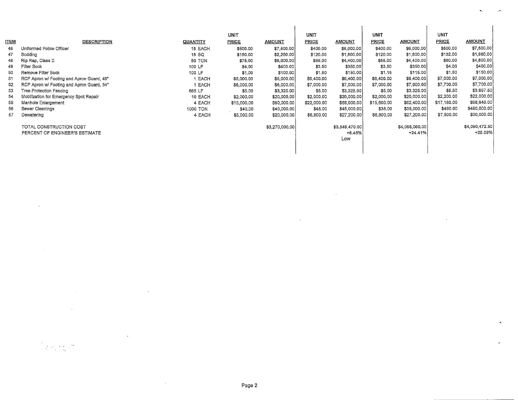|             |                                           |             | UNIT         |                | UNIT        |                | <b>UNIT</b>  |                | <b>UNIT</b>  |                |
|-------------|-------------------------------------------|-------------|--------------|----------------|-------------|----------------|--------------|----------------|--------------|----------------|
| <b>ITEM</b> | <b>DESCRIPTION</b>                        | QUANTITY    | <b>PRICE</b> | <b>AMOUNT</b>  | PRICE       | <b>AMOUNT</b>  | <b>PRICE</b> | <b>AMOUNT</b>  | <b>PRICE</b> | <b>AMOUNT</b>  |
| 46          | Uniformed Police Officer                  | 15 EACH     | \$500.00     | \$7,500.00     | \$400.00    | \$6,000.00     | \$400.00     | \$6,000,00     | \$500.00     | \$7,500.00     |
| 47          | Sodding                                   | 15 SQ       | \$150.00     | \$2,250.00     | \$120.00    | \$1,800.00     | \$120,00     | \$1,800.00     | \$132.00     | \$1,980.00     |
| 48          | Rip Rap, Class D                          | 80 TON      | \$75.00      | \$6,000,00     | \$55,00     | \$4,400,00     | \$55,00      | \$4,400.00     | \$60.00      | \$4,800.00     |
| 49          | Filter Sock                               | 100 LF      | \$4.00       | \$400.00       | \$3,50      | \$350.00       | \$3,50       | \$350.00       | \$4.00       | \$400.00       |
| 50          | Remove Filter Sock                        | 100 LF      | \$1.00       | \$100.00       | \$1.50      | \$150.00       | \$1.15       | \$115.00       | \$1,50       | \$150.00       |
| 51          | RCP Apron w/ Footing and Apron Guard, 48" | <b>EACH</b> | \$5,000.00   | \$5,000.00     | \$6,400.00  | \$6,400.00     | \$6,400.00   | \$6,400.00     | \$7,000.00   | \$7,000.00     |
| 52          | RCP Apron w/ Footing and Apron Guard, 54" | <b>EACH</b> | \$6,000.00   | \$6,000.00     | \$7,000.00  | \$7,000.00     | \$7,000.00   | \$7,000.00     | \$7,700.00   | \$7,700.00     |
| 53          | Tree Protection Fencing                   | 665 LF      | \$5.00       | \$3,325.00     | \$5.00      | \$3,325.00     | \$5,00       | \$3,325.00     | \$5,50       | \$3,657.50     |
| 54          | Mobilization for Emergency Spot Repair    | 10 EACH     | \$2,000.00   | \$20,000,00    | \$2,000.00  | \$20,000.00    | \$2,000.00   | \$20,000.00    | \$2,200.00   | \$22,000.00    |
| 55          | Manhole Enlargement                       | 4 EACH      | \$15,000.00  | \$60,000.00    | \$22,000.00 | \$88,000,00    | \$15,600.00  | \$62,400.00    | \$17,160.00  | \$68,640.00    |
| 56          | Sewer Cleanings                           | 1000 TON    | \$40.00      | \$40,000.00    | \$45,00     | \$45,000.00    | \$35.00      | \$35,000.00    | \$490.00     | \$490,000.00   |
| 57          | Dewatering                                | 4 EACH      | \$5,000,00   | \$20,000,00    | \$6,800.00  | \$27,200.00    | \$6,800.00   | \$27,200.00    | \$7,500.00   | \$30,000.00    |
|             | TOTAL CONSTRUCTION COST                   |             |              | \$3,270,000.00 |             | \$3,546,470.00 |              | \$4,068,060,00 |              | \$4,090,472.50 |
|             | PERCENT OF ENGINEER'S ESTIMATE            |             |              |                |             | $+8.45%$       |              | $+24.41%$      |              | $+25.09%$      |
|             |                                           |             |              |                |             | Low            |              |                |              |                |
|             |                                           |             |              |                |             |                |              |                |              |                |
|             |                                           |             |              |                |             |                |              |                |              |                |

٠

 $\mathbf{r}$ 

 $\sim$ 

 $\ddot{\phantom{a}}$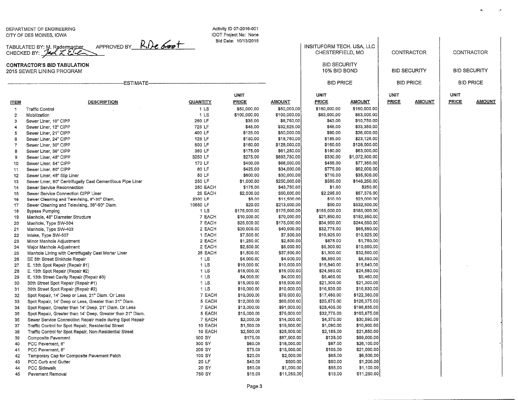DEPARTMENT OF ENGINEERINGCITY OF DES MOINES, IOWA

45 Pavement Removal

Activity ID 07-2016-001 I DOT Project No: NoneBid Date: 10/13/2015

UNITPRICE

TABULATED BY: M. Radermacher<br>CHECKED BY: **July 7 England** APPROVED BY RILe 600+

ITEM DESCRIPTION

## CONTRACTOR'S BID TABULATION2015 SEWER LINING PROGRAM

--ESTIMATE---

|              | INSITUFORM TECH. USA. LLC<br>CHESTERFIELD, MO |                | CONTRACTOR           |                     |                             |               |  |
|--------------|-----------------------------------------------|----------------|----------------------|---------------------|-----------------------------|---------------|--|
|              | <b>BID SECURITY</b><br>10% BID BOND           |                |                      | <b>BID SECURITY</b> | <b>BID SECURITY</b>         |               |  |
|              | <b>BID PRICE</b>                              |                |                      | <b>BID PRICE</b>    | <b>BID PRICE</b>            |               |  |
|              |                                               |                |                      |                     |                             |               |  |
| AMOUNT       | <b>UNIT</b><br>PRICE                          | <u>AMOUNT</u>  | UNIT<br><b>PRICE</b> | <b>AMOUNT</b>       | <b>UNIT</b><br><b>PRICE</b> | <u>AMOUNT</u> |  |
| \$50,000.00  | \$160,000.00                                  | \$160,000.00   |                      |                     |                             |               |  |
| \$100,000.00 | \$63,000.00                                   | \$63,000.00    |                      |                     |                             |               |  |
| \$8,750.00   | \$43.00                                       | \$10,750.00    |                      |                     |                             |               |  |
| \$32,625.00  | \$46.00                                       | \$33,350.00    |                      |                     |                             |               |  |
| \$50,000.00  | \$90.00                                       | \$36,000.00    |                      |                     |                             |               |  |
| \$18,750.00  | \$185.00                                      | \$23,125.00    |                      |                     |                             |               |  |
| \$128,000.00 | \$160.00                                      | \$128,000.00   |                      |                     |                             |               |  |
| \$61,250.00  | \$180.00                                      | \$63,000.00    |                      |                     |                             |               |  |
| \$893,750.00 | \$330.00                                      | \$1,072,500,00 |                      |                     |                             |               |  |
| \$68,000.00  | \$455.00                                      | \$77,350.00    |                      |                     |                             |               |  |
| \$34,000.00  | \$775.00                                      | \$62,000.00    |                      |                     |                             |               |  |
| \$30,000.00  | \$710.00                                      | \$35,500.00    |                      |                     |                             |               |  |
| \$250,000.00 | \$585.00                                      | \$146,250.00   |                      |                     |                             |               |  |
| \$43,750.00  | \$1.00                                        | \$250.00       |                      |                     |                             |               |  |
| \$50,000.00  | \$2,295.00                                    | \$57,375.00    |                      |                     |                             |               |  |
| \$11,500.00  | \$10.00                                       | \$23,000.00    |                      |                     |                             |               |  |
| \$213,000.00 | \$50.00                                       | \$532,500.00   |                      |                     |                             |               |  |
| \$175,000.00 | \$185,000.00                                  | \$185,000.00   |                      |                     |                             |               |  |
| \$70,000.00  | \$21,850.00                                   | \$152,950.00   |                      |                     |                             |               |  |
| \$175,000.00 | \$34,950.00                                   | \$244,650.00   |                      |                     |                             |               |  |
| \$40,000.00  | \$32,775.00                                   | \$65,550.00    |                      |                     |                             |               |  |
| \$7,500.00   | \$10,925.00                                   | \$10,925.00    |                      |                     |                             |               |  |
| \$2,500.00   | \$875.00                                      | \$1,750.00     |                      |                     |                             |               |  |
| \$5,000.00   | \$5,300.00                                    | \$10,600.00    |                      |                     |                             |               |  |
| \$37,500.00  | \$1,300.00                                    | \$32,500.00    |                      |                     |                             |               |  |
| \$4,000.00   | \$6,550.00                                    | \$6,550.00     |                      |                     |                             |               |  |
| \$10,000.00  | \$15,840.00                                   | \$15,840.00    |                      |                     |                             |               |  |
| \$15,000.00  | \$24,580.00                                   | \$24,580.00    |                      |                     |                             |               |  |
| \$4,000.00   | \$5,460.00                                    | \$5,460.00     |                      |                     |                             |               |  |
| \$15,000.00  | \$21,300.00                                   | \$21,300.00    |                      |                     |                             |               |  |
| \$10,000.00  | \$16,930.00                                   | \$16,930.00    |                      |                     |                             |               |  |
| \$70,000.00  | \$17,480.00                                   | \$122,360.00   |                      |                     |                             |               |  |
| \$60,000.00  | \$25,675.00                                   | \$128,375.00   |                      |                     |                             |               |  |
| \$91,000.00  | \$28,405.00                                   | \$198,835.00   |                      |                     |                             |               |  |
| \$75,000.00  | \$32,775.00                                   | \$163,875.00   |                      |                     |                             |               |  |
| \$14,000.00  | S4 370.00                                     | \$30,590.00    |                      |                     |                             |               |  |

 $\mathbf{R}$ 

 $\overline{\phantom{a}}$ 

| 1              | <b>Traffic Control</b>                                     | 1 <sub>LS</sub> | \$50,000.00  | \$50,000.00  | \$160,000.00 | \$160,000.00   |  |
|----------------|------------------------------------------------------------|-----------------|--------------|--------------|--------------|----------------|--|
| $\mathbf{2}$   | Mobilization                                               | 1 <sub>LS</sub> | \$100,000.00 | \$100,000.00 | \$63,000.00  | \$63,000.00    |  |
| 3              | Sewer Liner, 10" CIPP                                      | 250 LF          | \$35.00      | \$8,750.00   | \$43.00      | \$10,750.00    |  |
| 4              | Sewer Liner, 12" CIPP                                      | 725 LF          | \$45.00      | \$32,625.00  | \$46.00      | \$33,350.00    |  |
| 5              | Sewer Liner, 21" CIPP                                      | 400 LF          | \$125.00     | \$50,000.00  | \$90.00      | \$36,000.00    |  |
| 6              | Sewer Liner, 24" CIPP                                      | 125 LF          | \$150.00     | \$18,750.00  | \$185.00     | \$23,125.00    |  |
| $\overline{7}$ | Sewer Liner, 30" CIPP                                      | 800 LF          | \$160.00     | \$128,000.00 | \$160.00     | \$128,000.00   |  |
| 8              | Sewer Liner, 36" CIPP                                      | 350 LF          | \$175.00     | \$61,250.00  | \$180.00     | \$63,000.00    |  |
| 9              | Sewer Liner, 48" CIPP                                      | 3250 LF         | \$275.00     | \$893,750.00 | \$330.00     | \$1,072,500,00 |  |
| 10             | Sewer Liner, 54" CIPP                                      | 170 LF          | \$400.00     | \$68,000.00  | \$455.00     | \$77,350.00    |  |
| 11             | Sewer Liner, 60" CIPP                                      | 80 LF           | \$425.00     | \$34,000.00  | \$775.00     | \$62,000.00    |  |
| 12             | Sewer Liner, 48" Slip Liner                                | 50 LF           | \$600,00     | \$30,000.00  | \$710.00     | \$35,500.00    |  |
| 13             | Sewer Liner, 90" Centrifugally Cast Cementitous Pipe Liner | 250 LF          | \$1,000.00   | \$250,000.00 | \$585.00     | \$146,250.00   |  |
| 14             | Sewer Service Reconnection                                 | 250 EACH        | \$175.00     | \$43,750.00  | \$1.00       | \$250.00       |  |
| 15             | Sewer Service Connection CIPP Liner                        | 25 EACH         | \$2,000.00   | \$50,000.00  | \$2,295.00   | \$57,375.00    |  |
| 16             | Sewer Cleaning and Televising, 8"-30" Diam.                | 2300 LF         | \$5.00       | \$11,500.00  | \$10.00      | \$23,000.00    |  |
| 17             | Sewer Cleaning and Televising, 36"-90" Diam.               | 10650 LF        | \$20.00      | \$213,000.00 | \$50.00      | \$532,500.00   |  |
| 18             | <b>Bypass Pumping</b>                                      | 1 LS            | \$175,000.00 | \$175,000,00 | \$185,000.00 | \$185,000.00   |  |
| 19             | Manhole, 48" Diameter Structure                            | 7 EACH          | \$10,000.00  | \$70,000.00  | \$21,850.00  | \$152,950.00   |  |
| 20             | Manhole, Type SW-304                                       | 7 EACH          | \$25,000.00  | \$175,000.00 | \$34,950.00  | \$244,650.00   |  |
| 21             | Manhole, Type SW-403                                       | 2 EACH          | \$20,000.00  | \$40,000.00  | \$32,775.00  | \$65,550.00    |  |
| 22             | Intake, Type SW-507                                        | 1 EACH          | \$7,500.00   | \$7,500.00   | \$10,925.00  | \$10,925.00    |  |
| 23             | Minor Manhole Adjustment                                   | 2 EACH          | \$1,250.00   | \$2,500.00   | \$875.00     | \$1,750.00     |  |
| 24             | Major Manhole Adjustment                                   | 2 EACH          | \$2,500.00   | \$5,000.00   | \$5,300.00   | \$10,600.00    |  |
| 25             | Manhole Lining with Centrifugally Cast Mortar Liner        | 25 EACH         | \$1,500.00   | \$37,500.00  | \$1,300.00   | \$32,500.00    |  |
| 26             | SE 5th Street Sinkhole Repair                              | 1 <sub>LS</sub> | \$4,000.00   | \$4,000.00   | \$6,550.00   | \$6,550.00     |  |
| 27             | E. 13th Spot Repair (Repair #1)                            | 1 <sub>LS</sub> | \$10,000.00  | \$10,000.00  | \$15,840.00  | \$15,840.00    |  |
| 28             | E. 13th Spot Repair (Repair #2)                            | 1 <sub>LS</sub> | \$15,000.00  | \$15,000.00  | \$24,580.00  | \$24,580.00    |  |
| 29             | E. 13th Street Cavity Repair (Repair #3)                   | 1 <sub>LS</sub> | \$4,000.00   | \$4,000.00   | \$5,460.00   | \$5,460.00     |  |
| 30             | 30th Street Spot Repair (Repair #1)                        | 1 <sub>LS</sub> | \$15,000.00  | \$15,000.00  | \$21,300.00  | \$21,300.00    |  |
| 31             | 30th Street Spot Repair (Repair #2)                        | 1 <sub>LS</sub> | \$10,000.00  | \$10,000.00  | \$16,930.00  | \$16,930.00    |  |
| 32             | Spot Repair, 14' Deep or Less, 21" Diam. Or Less           | 7 EACH          | \$10,000.00  | \$70,000.00  | \$17,480.00  | \$122,360.00   |  |
| 33             | Spot Repair, 14' Deep or Less, Greater than 21" Diam.      | 5 EACH          | \$12,000.00  | \$60,000.00  | \$25,675.00  | \$128,375.00   |  |
| 34             | Spot Repair, Greater than 14' Deep, 21" Diam. Or Less      | 7 EACH          | \$13,000.00  | \$91,000.00  | \$28,405.00  | \$198,835.00   |  |
| 35             | Spot Repair, Greater than 14' Deep, Greater than 21" Diam. | 5 EACH          | \$15,000.00  | \$75,000.00  | \$32,775.00  | \$163,875.00   |  |
| 36             | Sewer Service Connection Repair made during Spot Repair    | 7 EACH          | \$2,000.00   | \$14,000.00  | \$4,370.00   | \$30,590.00    |  |
| 37             | Traffic Control for Spot Repair, Residential Street        | 10 EACH         | \$1,500.00   | \$15,000.00  | \$1,090.00   | \$10,900.00    |  |
| 38             | Traffic Control for Spot Repair, Non-Residential Street    | 10 EACH         | \$2,500.00   | \$25,000.00  | \$2,185.00   | \$21,850.00    |  |
| 39             | Composite Pavement                                         | 500 SY          | \$175.00     | \$87,500.00  | \$138,00     | \$69,000.00    |  |
| 40             | PCC Pavement, 6"                                           | 300 SY          | \$60.00      | \$18,000.00  | \$87.00      | \$26,100.00    |  |
| 41             | PCC Pavement, 8"                                           | 200 SY          | \$75.00      | \$15,000.00  | \$105.00     | \$21,000.00    |  |
| 42             | Temporary Cap for Composite Pavement Patch                 | 100 SY          | \$20.00      | \$2,000.00   | \$65,00      | \$6,500,00     |  |
| 43             | PCC Curb and Gutter                                        | 20 LF           | \$40.00      | \$800.00     | \$60,00      | \$1,200.00     |  |
| 44             | PCC Sidewalk                                               | 20 SY           | \$50.00      | \$1,000.00   | \$55.00      | \$1,100.00     |  |

750 SY

**QUANTITY** 

\$11,250.01

\$15.00

\$11,250.01